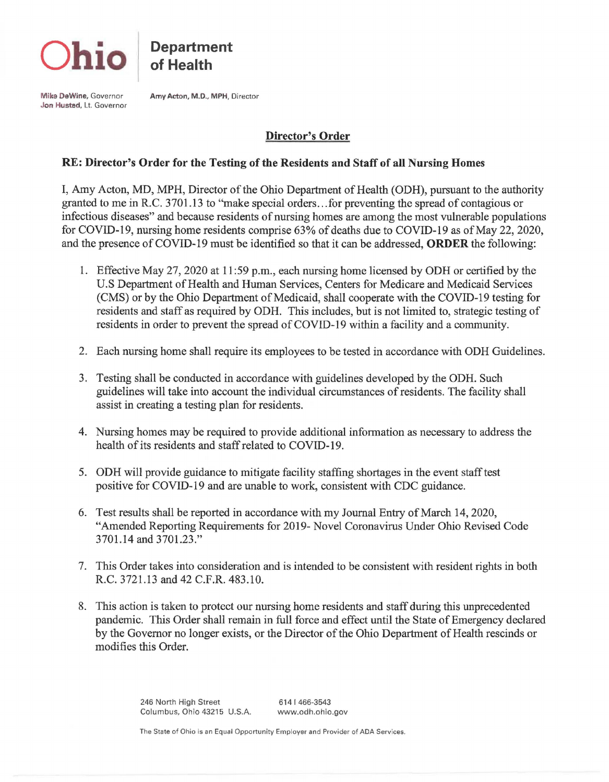

**Department of Health** 

**Mike DeWine,** Governor **Jon Husted,** Lt. Governor **Amy Acton, M.D., MPH,** Director

## **Director's Order**

## **RE: Director's Order for the Testing of the Residents and Staff of all Nursing Homes**

I, Amy Acton, MD, MPH, Director of the Ohio Department of Health (ODH), pursuant to the authority granted to me in R.C. 3701.13 to "make special orders ... for preventing the spread of contagious or infectious diseases" and because residents of nursing homes are among the most vulnerable populations for COVID-19, nursing home residents comprise 63% of deaths due to COVID-19 as of May 22, 2020, and the presence of COVID-19 must be identified so that it can be addressed, **ORDER** the following:

- 1. Effective May 27, 2020 at 11 :59 p.m., each nursing home licensed by ODH or certified by the U.S Department of Health and Human Services, Centers for Medicare and Medicaid Services (CMS) or by the Ohio Department of Medicaid, shall cooperate with the COVID-19 testing for residents and staff as required by ODH. This includes, but is not limited to, strategic testing of residents in order to prevent the spread of COVID-19 within a facility and a community.
- 2. Each nursing home shall require its employees to be tested in accordance with ODH Guidelines.
- 3. Testing shall be conducted in accordance with guidelines developed by the ODH. Such guidelines will take into account the individual circumstances of residents. The facility shall assist in creating a testing plan for residents.
- 4. Nursing homes may be required to provide additional information as necessary to address the health of its residents and staff related to COVID-19.
- 5. ODH will provide guidance to mitigate facility staffing shortages in the event staff test positive for COVID-19 and are unable to work, consistent with CDC guidance.
- 6. Test results shall be reported in accordance with my Journal Entry of March 14, 2020, "Amended Reporting Requirements for 2019- Novel Coronavirus Under Ohio Revised Code 3701.14 and 3701.23."
- 7. This Order takes into consideration and is intended to be consistent with resident rights in both R.C. 3721.13 and 42 C.F.R. 483.10.
- 8. This action is taken to protect our nursing home residents and staff during this unprecedented pandemic. This Order shall remain in full force and effect until the State of Emergency declared by the Governor no longer exists, or the Director of the Ohio Department of Health rescinds or modifies this Order.

246 North High Street Columbus, Ohio 43215 U.S.A. 614 I 466-3543 www.odh.ohio.gov

The State of Ohio is an Equal Opportunity Employer and Provider of ADA Services.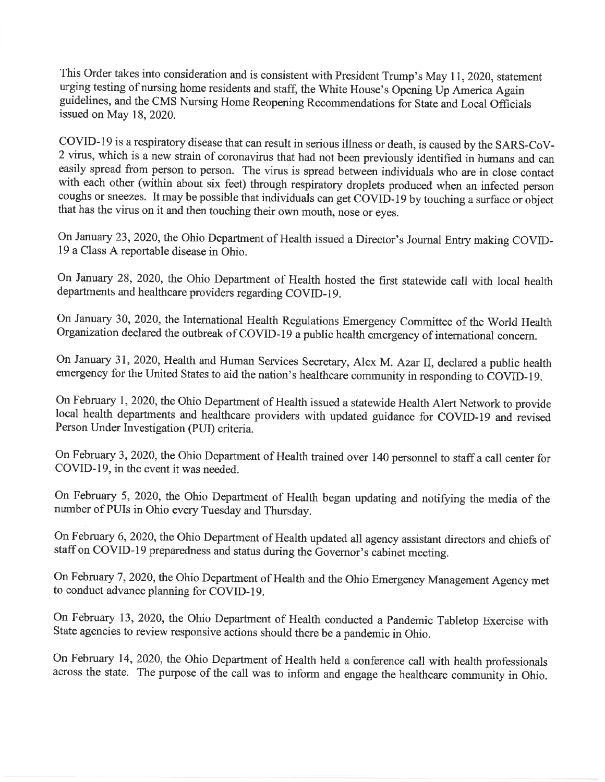This Order takes into consideration and is consistent with President Trump's May 11, 2020, statement urging testing of nursing home residents and staff, the White House's Opening Up America Again guidelines, and the CMS Nursing Home Reopening Recommendations for State and Local Officials issued on May 18, 2020.

COVID-19 is a respiratory disease that can result in serious illness or death, is caused by the SARS-CoV-2 virus, which is a new strain of coronavirus that had not been previously identified in humans and can easily spread from person to person. The virus is spread between individuals who are in close contact with each other (within about six feet) through respiratory droplets produced when an infected person coughs or sneezes. It may be possible that individuals can get COVID-19 by touching a surface or object that has the virus on it and then touching their own mouth, nose or eyes.

On January 23, 2020, the Ohio Department of Health issued a Director's Journal Entry making COVID-19 a Class A reportable disease in Ohio.

On January 28, 2020, the Ohio Department of Health hosted the first statewide call with local health departments and healthcare providers regarding COVID-19.

On January 30, 2020, the International Health Regulations Emergency Committee of the World Health Organization declared the outbreak of COVID-19 a public health emergency of international concern.

On January 31, 2020, Health and Human Services Secretary, Alex M. Azar II, declared a public health emergency for the United States to aid the nation's healthcare community in responding to COVID-19.

On February 1, 2020, the Ohio Department of Health issued a statewide Health Alert Network to provide local health departments and healthcare providers with updated guidance for COVID-19 and revised Person Under Investigation (PUI) criteria.

On February 3, 2020, the Ohio Department of Health trained over 140 personnel to staff a call center for COVID-19, in the event it was needed.

On February 5, 2020, the Ohio Department of Health began updating and notifying the media of the number of PUIs in Ohio every Tuesday and Thursday.

On February 6, 2020, the Ohio Department of Health updated all agency assistant directors and chiefs of staff on COVID-19 preparedness and status during the Governor's cabinet meeting.

On February 7, 2020, the Ohio Department of Health and the Ohio Emergency Management Agency met to conduct advance planning for COVID-19.

On February 13, 2020, the Ohio Department of Health conducted a Pandemic Tabletop Exercise with State agencies to review responsive actions should there be a pandemic in Ohio.

On February 14, 2020, the Ohio Department of Health held a conference call with health professionals across the state. The purpose of the call was to inform and engage the healthcare community in Ohio.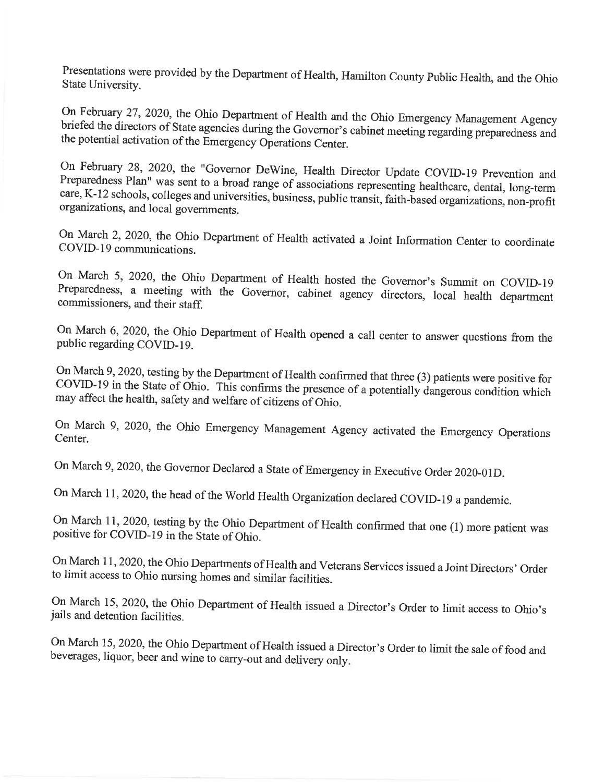Presentations were provided by the Department of Health, Hamilton County Public Health, and the Ohio State University.

On February 27, 2020, the Ohio Department of Health and the Ohio Emergency Management Agency briefed the directors of State agencies during the Governor's cabinet meeting regarding preparedness and the potential activation of the Emergency Operations Center.

On February 28, 2020, the "Governor DeWine, Health Director Update COVID-19 Prevention and Preparedness Plan" was sent to a broad range of associations representing healthcare, dental, long-term care, K-12 schools, colleges and universities, business, public transit, faith-based organizations, non-profit organizations, and local governments.

On March 2, 2020, the Ohio Department of Health activated a Joint Information Center to coordinate COVID-19 communications.

On March 5, 2020, the Ohio Department of Health hosted the Governor's Summit on COVID-19 Preparedness, a meeting with the Governor, cabinet agency directors, local health department commissioners, and their staff.

On March 6, 2020, the Ohio Department of Health opened a call center to answer questions from the public regarding COVID-19.

On March 9, 2020, testing by the Department of Health confirmed that three (3) patients were positive for COVID-19 in the State of Ohio. This confirms the presence of a potentially dangerous condition which may affect the health, safety and welfare of citizens of Ohio.

On March 9, 2020, the Ohio Emergency Management Agency activated the Emergency Operations Center.

On March 9, 2020, the Governor Declared a State of Emergency in Executive Order 2020-01D.

On March 11, 2020, the head of the World Health Organization declared COVID-19 a pandemic.

On March 11, 2020, testing by the Ohio Department of Health confirmed that one (1) more patient was positive for COVID-19 in the State of Ohio.

On March 11, 2020, the Ohio Departments of Health and Veterans Services issued a Joint Directors' Order to limit access to Ohio nursing homes and similar facilities.

On March 15, 2020, the Ohio Department of Health issued a Director's Order to limit access to Ohio's jails and detention facilities.

On March 15, 2020, the Ohio Department of Health issued a Director's Order to limit the sale of food and beverages, liquor, beer and wine to carry-out and delivery only.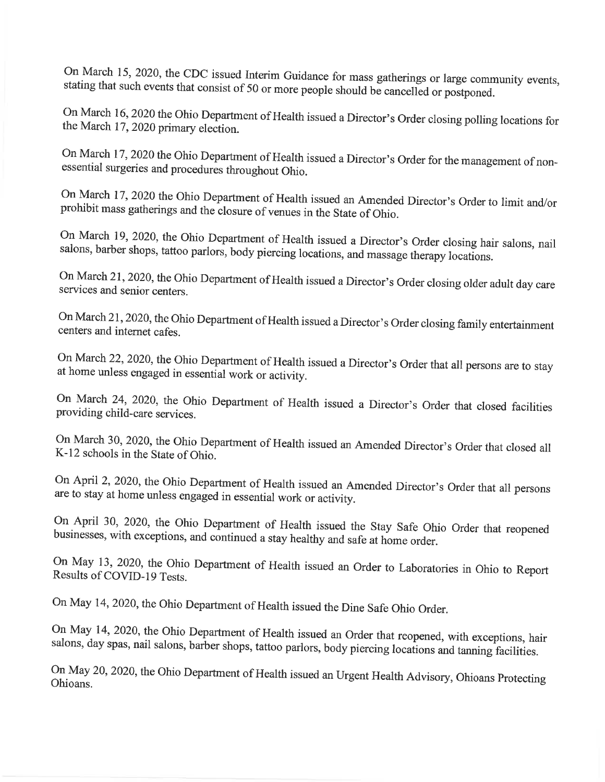On March 15, 2020, the CDC issued Interim Guidance for mass gatherings or large community events, stating that such events that consist of 50 or more people should be cancelled or postponed.

On March 16, 2020 the Ohio Department of Health issued a Director's Order closing polling locations for the March 17, 2020 primary election.

On March 17, 2020 the Ohio Department of Health issued a Director's Order for the management of nonessential surgeries and procedures throughout Ohio.

On March 17, 2020 the Ohio Department of Health issued an Amended Director's Order to limit and/or prohibit mass gatherings and the closure of venues in the State of Ohio.

On March 19, 2020, the Ohio Department of Health issued a Director's Order closing hair salons, nail salons, barber shops, tattoo parlors, body piercing locations, and massage therapy locations.

On March 21, 2020, the Ohio Department of Health issued a Director's Order closing older adult day care services and senior centers.

On March 21, 2020, the Ohio Department of Health issued a Director's Order closing family entertainment centers and internet cafes.

On March 22, 2020, the Ohio Department of Health issued a Director's Order that all persons are to stay at home unless engaged in essential work or activity.

On March 24, 2020, the Ohio Department of Health issued a Director's Order that closed facilities providing child-care services.

On March 30, 2020, the Ohio Department of Health issued an Amended Director's Order that closed all K-12 schools in the State of Ohio.

On April 2, 2020, the Ohio Department of Health issued an Amended Director's Order that all persons are to stay at home unless engaged in essential work or activity.

On April 30, 2020, the Ohio Department of Health issued the Stay Safe Ohio Order that reopened businesses, with exceptions, and continued a stay healthy and safe at home order.

On May 13, 2020, the Ohio Department of Health issued an Order to Laboratories in Ohio to Report Results of COVID-19 Tests.

On May 14, 2020, the Ohio Department of Health issued the Dine Safe Ohio Order.

On May 14, 2020, the Ohio Department of Health issued an Order that reopened, with exceptions, hair salons, day spas, nail salons, barber shops, tattoo parlors, body piercing locations and tanning facilities.

On May 20, 2020, the Ohio Department of Health issued an Urgent Health Advisory, Ohioans Protecting Ohioans.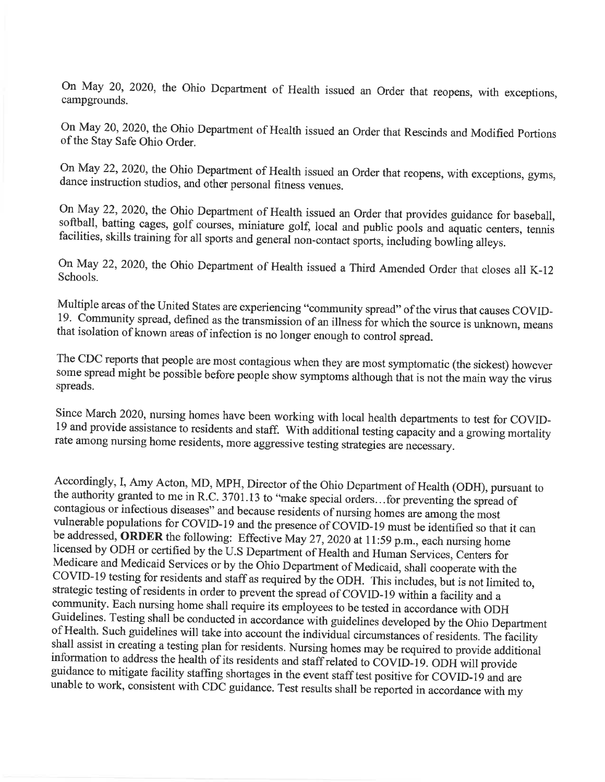On May 20, 2020, the Ohio Department of Health issued an Order that reopens, with exceptions, campgrounds.

On May 20, 2020, the Ohio Department of Health issued an Order that Rescinds and Modified Portions of the Stay Safe Ohio Order.

On May 22, 2020, the Ohio Department of Health issued an Order that reopens, with exceptions, gyms, dance instruction studios, and other personal fitness venues.

On May 22, 2020, the Ohio Department of Health issued an Order that provides guidance for baseball, softball, batting cages, golf courses, miniature golf, local and public pools and aquatic centers, tennis facilities, skills training for all sports and general non-contact sports, including bowling alleys.

On May 22, 2020, the Ohio Department of Health issued a Third Amended Order that closes all K-12 Schools.

Multiple areas of the United States are experiencing "community spread" of the virus that causes COVID-19. Community spread, defined as the transmission of an illness for which the source is unknown, means that isolation of known areas of infection is no longer enough to control spread.

The CDC reports that people are most contagious when they are most symptomatic (the sickest) however some spread might be possible before people show symptoms although that is not the main way the virus spreads.

Since March 2020, nursing homes have been working with local health departments to test for COVID-19 and provide assistance to residents and staff. With additional testing capacity and a growing mortality rate among nursing home residents, more aggressive testing strategies are necessary.

Accordingly, I, Amy Acton, MD, MPH, Director of the Ohio Department of Health (ODH), pursuant to the authority granted to me in R.C. 3701.13 to "make special orders...for preventing the spread of contagious or infectious diseases" and because residents of nursing homes are among the most vulnerable populations for COVID-19 and the presence of COVID-19 must be identified so that it can be addressed, ORDER the following: Effective May 27, 2020 at 11:59 p.m., each nursing home licensed by ODH or certified by the U.S Department of Health and Human Services, Centers for Medicare and Medicaid Services or by the Ohio Department of Medicaid, shall cooperate with the COVID-19 testing for residents and staff as required by the ODH. This includes, but is not limited to, strategic testing of residents in order to prevent the spread of COVID-19 within a facility and a community. Each nursing home shall require its employees to be tested in accordance with ODH Guidelines. Testing shall be conducted in accordance with guidelines developed by the Ohio Department of Health. Such guidelines will take into account the individual circumstances of residents. The facility shall assist in creating a testing plan for residents. Nursing homes may be required to provide additional information to address the health of its residents and staff related to COVID-19. ODH will provide guidance to mitigate facility staffing shortages in the event staff test positive for COVID-19 and are unable to work, consistent with CDC guidance. Test results shall be reported in accordance with my